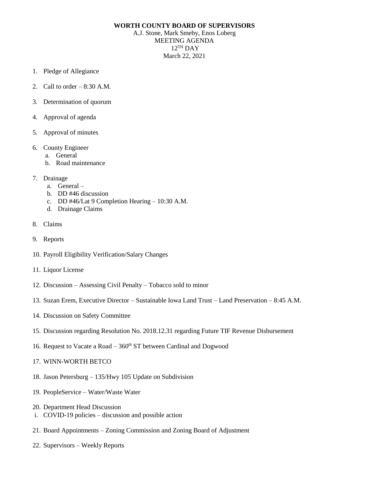## **WORTH COUNTY BOARD OF SUPERVISORS**

A.J. Stone, Mark Smeby, Enos Loberg MEETING AGENDA 12 TH DAY March 22, 2021

- 1. Pledge of Allegiance
- 2. Call to order  $-8:30$  A.M.
- 3. Determination of quorum
- 4. Approval of agenda
- 5. Approval of minutes
- 6. County Engineer
	- a. General
	- b. Road maintenance
- 7. Drainage
	- a. General –
	- b. DD #46 discussion
	- c. DD #46/Lat 9 Completion Hearing 10:30 A.M.
	- d. Drainage Claims
- 8. Claims
- 9. Reports
- 10. Payroll Eligibility Verification/Salary Changes
- 11. Liquor License
- 12. Discussion Assessing Civil Penalty Tobacco sold to minor
- 13. Suzan Erem, Executive Director Sustainable Iowa Land Trust Land Preservation 8:45 A.M.
- 14. Discussion on Safety Committee
- 15. Discussion regarding Resolution No. 2018.12.31 regarding Future TIF Revenue Disbursement
- 16. Request to Vacate a Road  $-360<sup>th</sup>$  ST between Cardinal and Dogwood
- 17. WINN-WORTH BETCO
- 18. Jason Petersburg 135/Hwy 105 Update on Subdivision
- 19. PeopleService Water/Waste Water
- 20. Department Head Discussion
- i. COVID-19 policies discussion and possible action
- 21. Board Appointments Zoning Commission and Zoning Board of Adjustment
- 22. Supervisors Weekly Reports